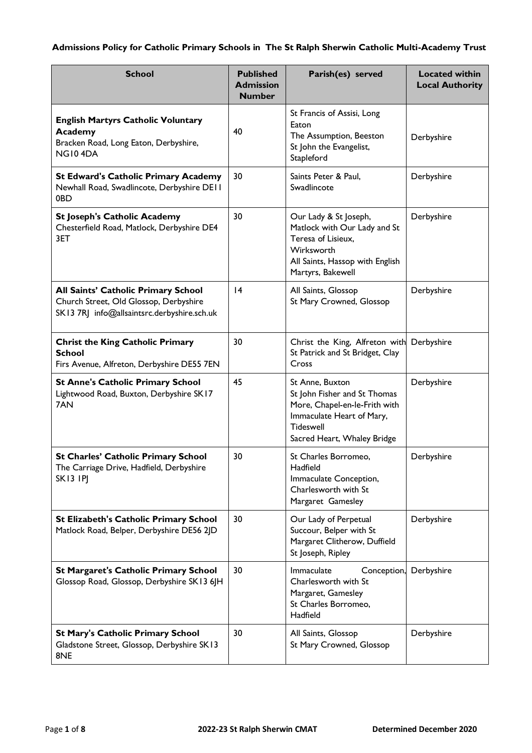# **Admissions Policy for Catholic Primary Schools in The St Ralph Sherwin Catholic Multi-Academy Trust**

| <b>School</b>                                                                                                                | <b>Published</b><br><b>Admission</b><br><b>Number</b> | Parish(es) served                                                                                                                                                | <b>Located within</b><br><b>Local Authority</b> |
|------------------------------------------------------------------------------------------------------------------------------|-------------------------------------------------------|------------------------------------------------------------------------------------------------------------------------------------------------------------------|-------------------------------------------------|
| <b>English Martyrs Catholic Voluntary</b><br><b>Academy</b><br>Bracken Road, Long Eaton, Derbyshire,<br>NG104DA              | 40                                                    | St Francis of Assisi, Long<br>Eaton<br>The Assumption, Beeston<br>St John the Evangelist,<br>Stapleford                                                          | Derbyshire                                      |
| <b>St Edward's Catholic Primary Academy</b><br>Newhall Road, Swadlincote, Derbyshire DEII<br>0BD                             | 30                                                    | Saints Peter & Paul,<br>Swadlincote                                                                                                                              | Derbyshire                                      |
| <b>St Joseph's Catholic Academy</b><br>Chesterfield Road, Matlock, Derbyshire DE4<br>3ET                                     | 30                                                    | Our Lady & St Joseph,<br>Matlock with Our Lady and St<br>Teresa of Lisieux,<br>Wirksworth<br>All Saints, Hassop with English<br>Martyrs, Bakewell                | Derbyshire                                      |
| All Saints' Catholic Primary School<br>Church Street, Old Glossop, Derbyshire<br>SK13 7RJ info@allsaintsrc.derbyshire.sch.uk | 4                                                     | All Saints, Glossop<br>St Mary Crowned, Glossop                                                                                                                  | Derbyshire                                      |
| <b>Christ the King Catholic Primary</b><br><b>School</b><br>Firs Avenue, Alfreton, Derbyshire DE55 7EN                       | 30                                                    | Christ the King, Alfreton with<br>St Patrick and St Bridget, Clay<br>Cross                                                                                       | Derbyshire                                      |
| <b>St Anne's Catholic Primary School</b><br>Lightwood Road, Buxton, Derbyshire SK17<br>7AN                                   | 45                                                    | St Anne, Buxton<br>St John Fisher and St Thomas<br>More, Chapel-en-le-Frith with<br>Immaculate Heart of Mary,<br><b>Tideswell</b><br>Sacred Heart, Whaley Bridge | Derbyshire                                      |
| <b>St Charles' Catholic Primary School</b><br>The Carriage Drive, Hadfield, Derbyshire<br><b>SK13 IPI</b>                    | 30                                                    | St Charles Borromeo,<br>Hadfield<br>Immaculate Conception,<br>Charlesworth with St<br>Margaret Gamesley                                                          | Derbyshire                                      |
| St Elizabeth's Catholic Primary School<br>Matlock Road, Belper, Derbyshire DE56 2JD                                          | 30                                                    | Our Lady of Perpetual<br>Succour, Belper with St<br>Margaret Clitherow, Duffield<br>St Joseph, Ripley                                                            | Derbyshire                                      |
| <b>St Margaret's Catholic Primary School</b><br>Glossop Road, Glossop, Derbyshire SK13 6JH                                   | 30                                                    | Immaculate<br>Conception,<br>Charlesworth with St<br>Margaret, Gamesley<br>St Charles Borromeo,<br>Hadfield                                                      | Derbyshire                                      |
| <b>St Mary's Catholic Primary School</b><br>Gladstone Street, Glossop, Derbyshire SK13<br>8NE                                | 30                                                    | All Saints, Glossop<br>St Mary Crowned, Glossop                                                                                                                  | Derbyshire                                      |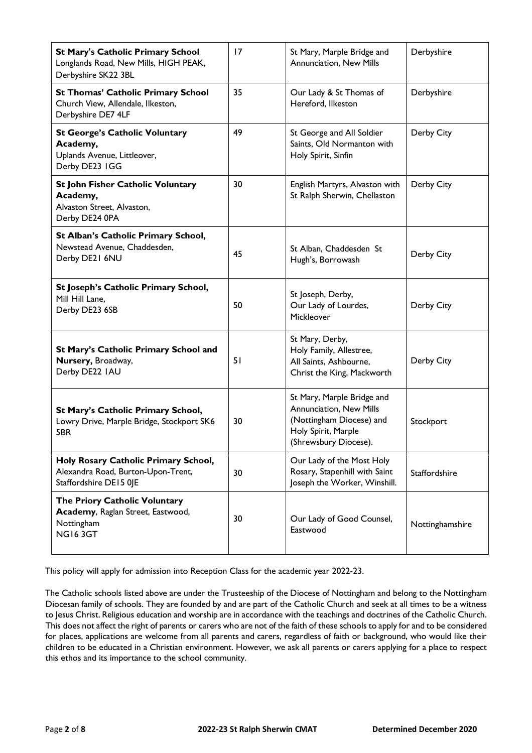| <b>St Mary's Catholic Primary School</b><br>Longlands Road, New Mills, HIGH PEAK,<br>Derbyshire SK22 3BL | 17 | St Mary, Marple Bridge and<br>Annunciation, New Mills                                                                             | Derbyshire      |
|----------------------------------------------------------------------------------------------------------|----|-----------------------------------------------------------------------------------------------------------------------------------|-----------------|
| <b>St Thomas' Catholic Primary School</b><br>Church View, Allendale, Ilkeston,<br>Derbyshire DE7 4LF     | 35 | Our Lady & St Thomas of<br>Hereford, Ilkeston                                                                                     | Derbyshire      |
| <b>St George's Catholic Voluntary</b><br>Academy,<br>Uplands Avenue, Littleover,<br>Derby DE23 IGG       | 49 | St George and All Soldier<br>Saints, Old Normanton with<br>Holy Spirit, Sinfin                                                    | Derby City      |
| St John Fisher Catholic Voluntary<br>Academy,<br>Alvaston Street, Alvaston,<br>Derby DE24 0PA            | 30 | English Martyrs, Alvaston with<br>St Ralph Sherwin, Chellaston                                                                    | Derby City      |
| St Alban's Catholic Primary School,<br>Newstead Avenue, Chaddesden,<br>Derby DE21 6NU                    | 45 | St Alban, Chaddesden St<br>Hugh's, Borrowash                                                                                      | Derby City      |
| St Joseph's Catholic Primary School,<br>Mill Hill Lane,<br>Derby DE23 6SB                                | 50 | St Joseph, Derby,<br>Our Lady of Lourdes,<br>Mickleover                                                                           | Derby City      |
| St Mary's Catholic Primary School and<br>Nursery, Broadway,<br>Derby DE22 IAU                            | 51 | St Mary, Derby,<br>Holy Family, Allestree,<br>All Saints, Ashbourne,<br>Christ the King, Mackworth                                | Derby City      |
| St Mary's Catholic Primary School,<br>Lowry Drive, Marple Bridge, Stockport SK6<br>5BR                   | 30 | St Mary, Marple Bridge and<br>Annunciation, New Mills<br>(Nottingham Diocese) and<br>Holy Spirit, Marple<br>(Shrewsbury Diocese). | Stockport       |
| Holy Rosary Catholic Primary School,<br>Alexandra Road, Burton-Upon-Trent,<br>Staffordshire DE15 0JE     | 30 | Our Lady of the Most Holy<br>Rosary, Stapenhill with Saint<br>Joseph the Worker, Winshill.                                        | Staffordshire   |
| The Priory Catholic Voluntary<br>Academy, Raglan Street, Eastwood,<br>Nottingham<br><b>NG163GT</b>       | 30 | Our Lady of Good Counsel,<br>Eastwood                                                                                             | Nottinghamshire |

This policy will apply for admission into Reception Class for the academic year 2022-23.

The Catholic schools listed above are under the Trusteeship of the Diocese of Nottingham and belong to the Nottingham Diocesan family of schools. They are founded by and are part of the Catholic Church and seek at all times to be a witness to Jesus Christ. Religious education and worship are in accordance with the teachings and doctrines of the Catholic Church. This does not affect the right of parents or carers who are not of the faith of these schools to apply for and to be considered for places, applications are welcome from all parents and carers, regardless of faith or background, who would like their children to be educated in a Christian environment. However, we ask all parents or carers applying for a place to respect this ethos and its importance to the school community.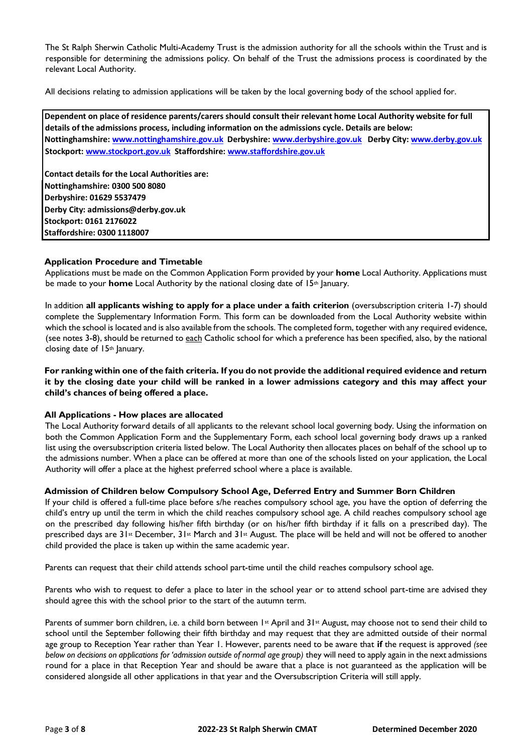The St Ralph Sherwin Catholic Multi-Academy Trust is the admission authority for all the schools within the Trust and is responsible for determining the admissions policy. On behalf of the Trust the admissions process is coordinated by the relevant Local Authority.

All decisions relating to admission applications will be taken by the local governing body of the school applied for.

**Dependent on place of residence parents/carers should consult their relevant home Local Authority website for full details of the admissions process, including information on the admissions cycle. Details are below: Nottinghamshir[e: www.nottinghamshire.gov.uk D](http://www.nottinghamshire.gov.uk/)erbyshir[e: www.derbyshire.gov.uk D](http://www.derbyshire.gov.uk/)erby Cit[y: www.derby.gov.uk](http://www.derby.gov.uk/) Stockpor[t: www.stockport.gov.uk S](http://www.stockport.gov.uk/)taffordshir[e: www.staffordshire.gov.uk](http://www.staffordshire.gov.uk/)** 

**Contact details for the Local Authorities are: Nottinghamshire: 0300 500 8080 Derbyshire: 01629 5537479 Derby City: admissions@derby.gov.uk Stockport: 0161 2176022 Staffordshire: 0300 1118007** 

# **Application Procedure and Timetable**

Applications must be made on the Common Application Form provided by your **home** Local Authority. Applications must be made to your **home** Local Authority by the national closing date of 15<sup>th</sup> January.

In addition **all applicants wishing to apply for a place under a faith criterion** (oversubscription criteria 1-7) should complete the Supplementary Information Form. This form can be downloaded from the Local Authority website within which the school is located and is also available from the schools. The completed form, together with any required evidence, (see notes 3-8), should be returned to each Catholic school for which a preference has been specified, also, by the national closing date of 15th January.

**For ranking within one of the faith criteria. If you do not provide the additional required evidence and return it by the closing date your child will be ranked in a lower admissions category and this may affect your child's chances of being offered a place.** 

## **All Applications - How places are allocated**

The Local Authority forward details of all applicants to the relevant school local governing body. Using the information on both the Common Application Form and the Supplementary Form, each school local governing body draws up a ranked list using the oversubscription criteria listed below. The Local Authority then allocates places on behalf of the school up to the admissions number. When a place can be offered at more than one of the schools listed on your application, the Local Authority will offer a place at the highest preferred school where a place is available.

## **Admission of Children below Compulsory School Age, Deferred Entry and Summer Born Children**

If your child is offered a full-time place before s/he reaches compulsory school age, you have the option of deferring the child's entry up until the term in which the child reaches compulsory school age. A child reaches compulsory school age on the prescribed day following his/her fifth birthday (or on his/her fifth birthday if it falls on a prescribed day). The prescribed days are 31st December, 31st March and 31st August. The place will be held and will not be offered to another child provided the place is taken up within the same academic year.

Parents can request that their child attends school part-time until the child reaches compulsory school age.

Parents who wish to request to defer a place to later in the school year or to attend school part-time are advised they should agree this with the school prior to the start of the autumn term.

Parents of summer born children, i.e. a child born between  $1$ <sup>st</sup> April and  $31$ <sup>st</sup> August, may choose not to send their child to school until the September following their fifth birthday and may request that they are admitted outside of their normal age group to Reception Year rather than Year 1. However, parents need to be aware that **if** the request is approved *(see below on decisions on applications for 'admission outside of normal age group*) they will need to apply again in the next admissions round for a place in that Reception Year and should be aware that a place is not guaranteed as the application will be considered alongside all other applications in that year and the Oversubscription Criteria will still apply.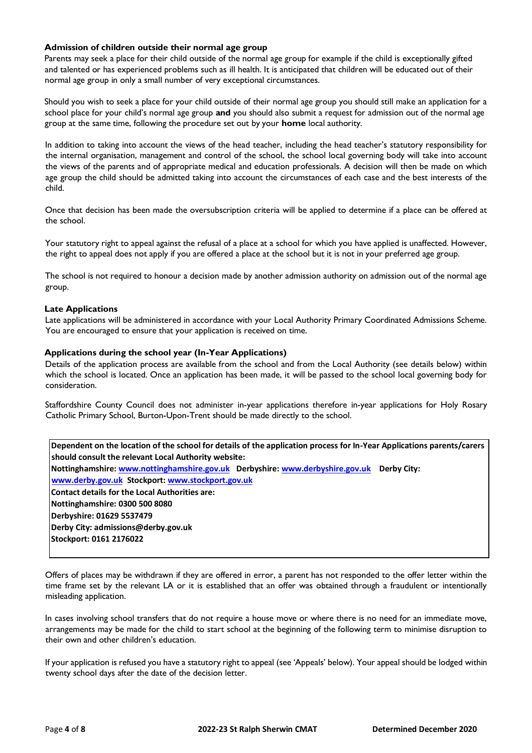# **Admission of children outside their normal age group**

Parents may seek a place for their child outside of the normal age group for example if the child is exceptionally gifted and talented or has experienced problems such as ill health. It is anticipated that children will be educated out of their normal age group in only a small number of very exceptional circumstances.

Should you wish to seek a place for your child outside of their normal age group you should still make an application for a school place for your child's normal age group **and** you should also submit a request for admission out of the normal age group at the same time, following the procedure set out by your **home** local authority.

In addition to taking into account the views of the head teacher, including the head teacher's statutory responsibility for the internal organisation, management and control of the school, the school local governing body will take into account the views of the parents and of appropriate medical and education professionals. A decision will then be made on which age group the child should be admitted taking into account the circumstances of each case and the best interests of the child.

Once that decision has been made the oversubscription criteria will be applied to determine if a place can be offered at the school.

Your statutory right to appeal against the refusal of a place at a school for which you have applied is unaffected. However, the right to appeal does not apply if you are offered a place at the school but it is not in your preferred age group.

The school is not required to honour a decision made by another admission authority on admission out of the normal age group.

# **Late Applications**

Late applications will be administered in accordance with your Local Authority Primary Coordinated Admissions Scheme. You are encouraged to ensure that your application is received on time.

# **Applications during the school year (In-Year Applications)**

Details of the application process are available from the school and from the Local Authority (see details below) within which the school is located. Once an application has been made, it will be passed to the school local governing body for consideration.

Staffordshire County Council does not administer in-year applications therefore in-year applications for Holy Rosary Catholic Primary School, Burton-Upon-Trent should be made directly to the school.

| Dependent on the location of the school for details of the application process for In-Year Applications parents/carers |  |  |  |  |  |
|------------------------------------------------------------------------------------------------------------------------|--|--|--|--|--|
| should consult the relevant Local Authority website:                                                                   |  |  |  |  |  |
| Nottinghamshire: www.nottinghamshire.gov.uk Derbyshire: www.derbyshire.gov.uk Derby City:                              |  |  |  |  |  |
| www.derby.gov.uk Stockport: www.stockport.gov.uk                                                                       |  |  |  |  |  |
| Contact details for the Local Authorities are:                                                                         |  |  |  |  |  |
| Nottinghamshire: 0300 500 8080                                                                                         |  |  |  |  |  |
| Derbyshire: 01629 5537479                                                                                              |  |  |  |  |  |
| Derby City: admissions@derby.gov.uk                                                                                    |  |  |  |  |  |
| Stockport: 0161 2176022                                                                                                |  |  |  |  |  |
|                                                                                                                        |  |  |  |  |  |

Offers of places may be withdrawn if they are offered in error, a parent has not responded to the offer letter within the time frame set by the relevant LA or it is established that an offer was obtained through a fraudulent or intentionally misleading application.

In cases involving school transfers that do not require a house move or where there is no need for an immediate move, arrangements may be made for the child to start school at the beginning of the following term to minimise disruption to their own and other children's education.

If your application is refused you have a statutory right to appeal (see 'Appeals' below). Your appeal should be lodged within twenty school days after the date of the decision letter.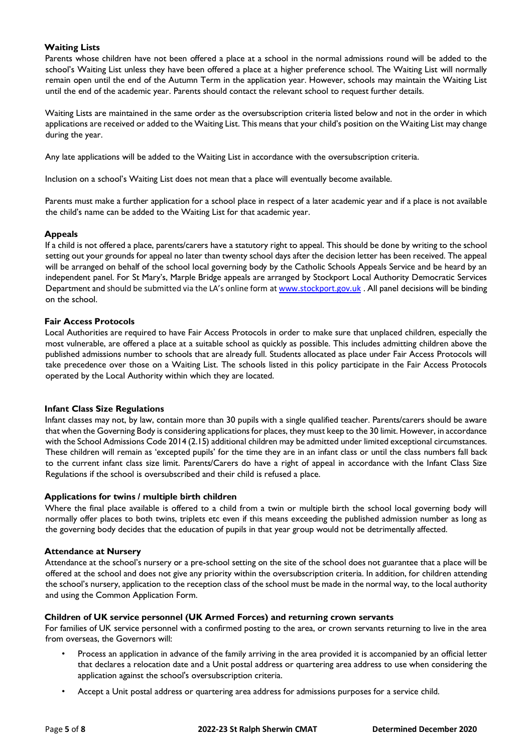# **Waiting Lists**

Parents whose children have not been offered a place at a school in the normal admissions round will be added to the school's Waiting List unless they have been offered a place at a higher preference school. The Waiting List will normally remain open until the end of the Autumn Term in the application year. However, schools may maintain the Waiting List until the end of the academic year. Parents should contact the relevant school to request further details.

Waiting Lists are maintained in the same order as the oversubscription criteria listed below and not in the order in which applications are received or added to the Waiting List. This means that your child's position on the Waiting List may change during the year.

Any late applications will be added to the Waiting List in accordance with the oversubscription criteria.

Inclusion on a school's Waiting List does not mean that a place will eventually become available.

Parents must make a further application for a school place in respect of a later academic year and if a place is not available the child's name can be added to the Waiting List for that academic year.

# **Appeals**

If a child is not offered a place, parents/carers have a statutory right to appeal. This should be done by writing to the school setting out your grounds for appeal no later than twenty school days after the decision letter has been received. The appeal will be arranged on behalf of the school local governing body by the Catholic Schools Appeals Service and be heard by an independent panel. For St Mary's, Marple Bridge appeals are arranged by Stockport Local Authority Democratic Services Department and should be submitted via the LA's online form [at www.stockport.gov.uk](http://www.stockport.gov.uk/) [.](http://www.stockport.gov.uk/) All panel decisions will be binding on the school.

# **Fair Access Protocols**

Local Authorities are required to have Fair Access Protocols in order to make sure that unplaced children, especially the most vulnerable, are offered a place at a suitable school as quickly as possible. This includes admitting children above the published admissions number to schools that are already full. Students allocated as place under Fair Access Protocols will take precedence over those on a Waiting List. The schools listed in this policy participate in the Fair Access Protocols operated by the Local Authority within which they are located.

## **Infant Class Size Regulations**

Infant classes may not, by law, contain more than 30 pupils with a single qualified teacher. Parents/carers should be aware that when the Governing Body is considering applications for places, they must keep to the 30 limit. However, in accordance with the School Admissions Code 2014 (2.15) additional children may be admitted under limited exceptional circumstances. These children will remain as 'excepted pupils' for the time they are in an infant class or until the class numbers fall back to the current infant class size limit. Parents/Carers do have a right of appeal in accordance with the Infant Class Size Regulations if the school is oversubscribed and their child is refused a place.

## **Applications for twins / multiple birth children**

Where the final place available is offered to a child from a twin or multiple birth the school local governing body will normally offer places to both twins, triplets etc even if this means exceeding the published admission number as long as the governing body decides that the education of pupils in that year group would not be detrimentally affected.

## **Attendance at Nursery**

Attendance at the school's nursery or a pre-school setting on the site of the school does not guarantee that a place will be offered at the school and does not give any priority within the oversubscription criteria. In addition, for children attending the school's nursery, application to the reception class of the school must be made in the normal way, to the local authority and using the Common Application Form.

# **Children of UK service personnel (UK Armed Forces) and returning crown servants**

For families of UK service personnel with a confirmed posting to the area, or crown servants returning to live in the area from overseas, the Governors will:

- Process an application in advance of the family arriving in the area provided it is accompanied by an official letter that declares a relocation date and a Unit postal address or quartering area address to use when considering the application against the school's oversubscription criteria.
- Accept a Unit postal address or quartering area address for admissions purposes for a service child.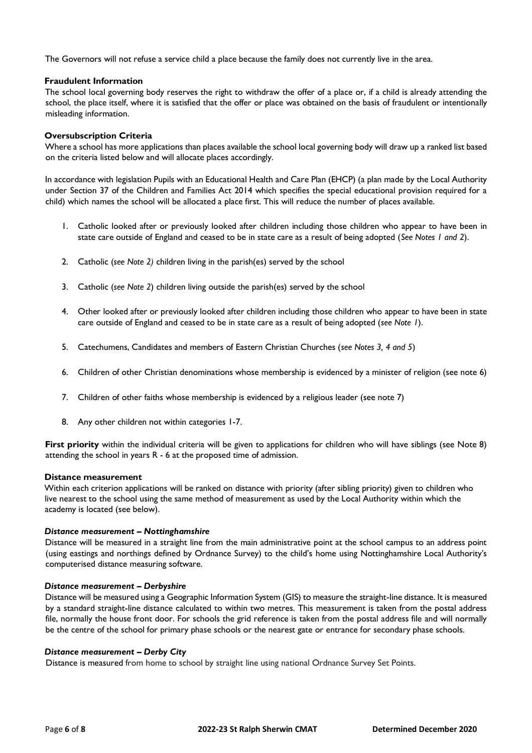The Governors will not refuse a service child a place because the family does not currently live in the area.

## **Fraudulent Information**

The school local governing body reserves the right to withdraw the offer of a place or, if a child is already attending the school, the place itself, where it is satisfied that the offer or place was obtained on the basis of fraudulent or intentionally misleading information.

### **Oversubscription Criteria**

Where a school has more applications than places available the school local governing body will draw up a ranked list based on the criteria listed below and will allocate places accordingly.

In accordance with legislation Pupils with an Educational Health and Care Plan (EHCP) (a plan made by the Local Authority under Section 37 of the Children and Families Act 2014 which specifies the special educational provision required for a child) which names the school will be allocated a place first. This will reduce the number of places available.

- 1. Catholic looked after or previously looked after children including those children who appear to have been in state care outside of England and ceased to be in state care as a result of being adopted (*See Notes 1 and 2*).
- 2. Catholic (*see Note 2)* children living in the parish(es) served by the school
- 3. Catholic (*see Note 2*) children living outside the parish(es) served by the school
- 4. Other looked after or previously looked after children including those children who appear to have been in state care outside of England and ceased to be in state care as a result of being adopted (*see Note 1*).
- 5. Catechumens, Candidates and members of Eastern Christian Churches (*see Notes 3, 4 and 5*)
- 6. Children of other Christian denominations whose membership is evidenced by a minister of religion (see note 6)
- 7. Children of other faiths whose membership is evidenced by a religious leader (see note 7)
- 8. Any other children not within categories 1-7.

**First priority** within the individual criteria will be given to applications for children who will have siblings (see Note 8) attending the school in years R - 6 at the proposed time of admission.

#### **Distance measurement**

Within each criterion applications will be ranked on distance with priority (after sibling priority) given to children who live nearest to the school using the same method of measurement as used by the Local Authority within which the academy is located (see below).

#### *Distance measurement – Nottinghamshire*

Distance will be measured in a straight line from the main administrative point at the school campus to an address point (using eastings and northings defined by Ordnance Survey) to the child's home using Nottinghamshire Local Authority's computerised distance measuring software.

#### *Distance measurement – Derbyshire*

Distance will be measured using a Geographic Information System (GIS) to measure the straight-line distance. It is measured by a standard straight-line distance calculated to within two metres. This measurement is taken from the postal address file, normally the house front door. For schools the grid reference is taken from the postal address file and will normally be the centre of the school for primary phase schools or the nearest gate or entrance for secondary phase schools.

#### *Distance measurement – Derby City*

Distance is measured from home to school by straight line using national Ordnance Survey Set Points.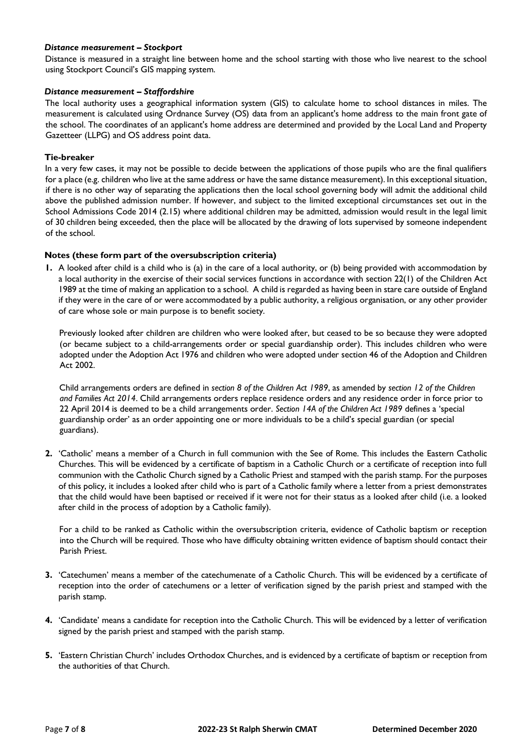## *Distance measurement – Stockport*

Distance is measured in a straight line between home and the school starting with those who live nearest to the school using Stockport Council's GIS mapping system.

## *Distance measurement – Staffordshire*

The local authority uses a geographical information system (GIS) to calculate home to school distances in miles. The measurement is calculated using Ordnance Survey (OS) data from an applicant's home address to the main front gate of the school. The coordinates of an applicant's home address are determined and provided by the Local Land and Property Gazetteer (LLPG) and OS address point data.

## **Tie-breaker**

In a very few cases, it may not be possible to decide between the applications of those pupils who are the final qualifiers for a place (e.g. children who live at the same address or have the same distance measurement). In this exceptional situation, if there is no other way of separating the applications then the local school governing body will admit the additional child above the published admission number. If however, and subject to the limited exceptional circumstances set out in the School Admissions Code 2014 (2.15) where additional children may be admitted, admission would result in the legal limit of 30 children being exceeded, then the place will be allocated by the drawing of lots supervised by someone independent of the school.

# **Notes (these form part of the oversubscription criteria)**

**1.** A looked after child is a child who is (a) in the care of a local authority, or (b) being provided with accommodation by a local authority in the exercise of their social services functions in accordance with section 22(1) of the Children Act 1989 at the time of making an application to a school. A child is regarded as having been in stare care outside of England if they were in the care of or were accommodated by a public authority, a religious organisation, or any other provider of care whose sole or main purpose is to benefit society.

Previously looked after children are children who were looked after, but ceased to be so because they were adopted (or became subject to a child-arrangements order or special guardianship order). This includes children who were adopted under the Adoption Act 1976 and children who were adopted under section 46 of the Adoption and Children Act 2002.

Child arrangements orders are defined in *section 8 of the Children Act 1989*, as amended by *section 12 of the Children and Families Act 2014*. Child arrangements orders replace residence orders and any residence order in force prior to 22 April 2014 is deemed to be a child arrangements order. *Section 14A of the Children Act 1989* defines a 'special guardianship order' as an order appointing one or more individuals to be a child's special guardian (or special guardians).

**2.** 'Catholic' means a member of a Church in full communion with the See of Rome. This includes the Eastern Catholic Churches. This will be evidenced by a certificate of baptism in a Catholic Church or a certificate of reception into full communion with the Catholic Church signed by a Catholic Priest and stamped with the parish stamp. For the purposes of this policy, it includes a looked after child who is part of a Catholic family where a letter from a priest demonstrates that the child would have been baptised or received if it were not for their status as a looked after child (i.e. a looked after child in the process of adoption by a Catholic family).

For a child to be ranked as Catholic within the oversubscription criteria, evidence of Catholic baptism or reception into the Church will be required. Those who have difficulty obtaining written evidence of baptism should contact their Parish Priest.

- **3.** 'Catechumen' means a member of the catechumenate of a Catholic Church. This will be evidenced by a certificate of reception into the order of catechumens or a letter of verification signed by the parish priest and stamped with the parish stamp.
- **4.** 'Candidate' means a candidate for reception into the Catholic Church. This will be evidenced by a letter of verification signed by the parish priest and stamped with the parish stamp.
- **5.** 'Eastern Christian Church' includes Orthodox Churches, and is evidenced by a certificate of baptism or reception from the authorities of that Church.